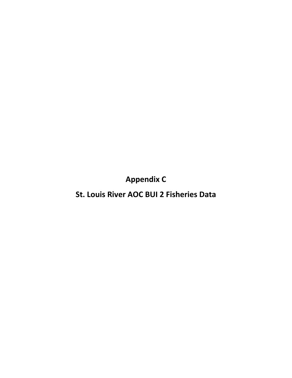**Appendix C**

**St. Louis River AOC BUI 2 Fisheries Data**